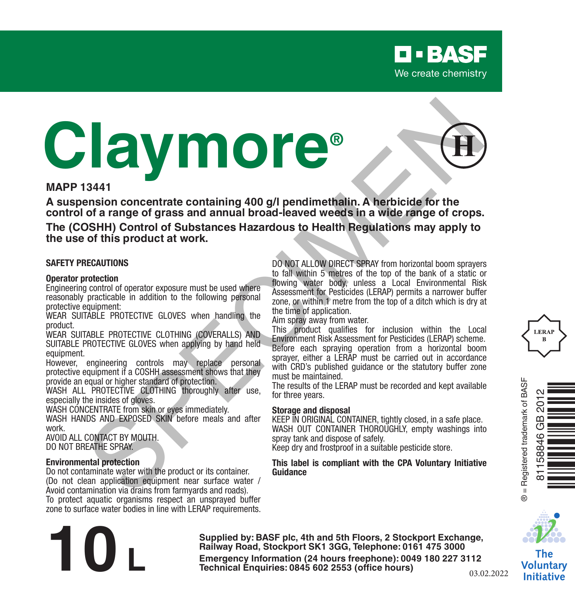# **Claymore® Example of grass and annual broad Leader of Branch and Specifical Change of Grass and annual broad Leader developer and annual broad Leader of Branch and Change of Grops of Specifical Change of Grops and annual broad Lead**



**A suspension concentrate containing 400 g/l pendimethalin. A herbicide for the control of a range of grass and annual broad-leaved weeds in a wide range of crops.**

**The (COSHH) Control of Substances Hazardous to Health Regulations may apply to the use of this product at work.**

### **SAFETY PRECAUTIONS**

### **Operator protection**

Engineering control of operator exposure must be used where reasonably practicable in addition to the following personal protective equipment:

WEAR SUITABLE PROTECTIVE GLOVES when handling the product.

WEAR SUITABLE PROTECTIVE CLOTHING (COVERALLS) AND SUITABLE PROTECTIVE GLOVES when applying by hand held equipment.

However, engineering controls may replace personal protective equipment if a COSHH assessment shows that they provide an equal or higher standard of protection.

WASH ALL PROTECTIVE CLOTHING thoroughly after use. especially the insides of gloves.

WASH CONCENTRATE from skin or eves immediately.

WASH HANDS AND EXPOSED SKIN before meals and after work.

AVOID ALL CONTACT BY MOUTH. DO NOT BREATHE SPRAY.

### **Environmental protection**

Do not contaminate water with the product or its container. (Do not clean application equipment near surface water / Avoid contamination via drains from farmyards and roads). To protect aquatic organisms respect an unsprayed buffer zone to surface water bodies in line with LERAP requirements. DO NOT ALLOW DIRECT SPRAY from horizontal boom sprayers to fall within 5 metres of the top of the bank of a static or flowing water body, unless a Local Environmental Risk Assessment for Pesticides (LERAP) permits a narrower buffer zone, or within 1 metre from the top of a ditch which is dry at the time of application.

Aim spray away from water.

This product qualifies for inclusion within the Local Environment Risk Assessment for Pesticides (LERAP) scheme. Before each spraying operation from a horizontal boom sprayer, either a LERAP must be carried out in accordance with CRD's published quidance or the statutory buffer zone must be maintained.

The results of the LERAP must be recorded and kept available for three years.

### **Storage and disposal**

KEEP IN ORIGINAL CONTAINER, tightly closed, in a safe place. WASH OUT CONTAINER THOROUGHLY, empty washings into spray tank and dispose of safely.

Keep dry and frostproof in a suitable pesticide store.

### **This label is compliant with the CPA Voluntary Initiative Guidance**







The **Voluntary Initiative** 

**Supplied by: BASF plc, 4th and 5th Floors, 2 Stockport Exchange, Railway Road, Stockport SK1 3GG, Telephone: 0161 475 3000 Emergency Information (24 hours freephone): 0049 <sup>180</sup> <sup>227</sup> 3112 10 L Technical Enquiries: 0845 <sup>602</sup> 2553 (office hours)** 03.02.2022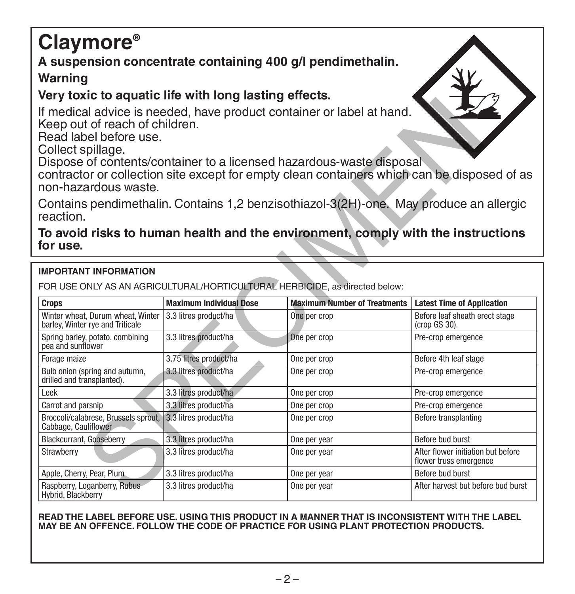# **Claymore®**

# **A suspension concentrate containing 400 g/l pendimethalin.**

# **Warning**

# **Very toxic to aquatic life with long lasting effects.**

# **To avoid risks to human health and the environment, comply with the instructions for use.**

# **IMPORTANT INFORMATION**

| come to agaano mo mun rong laoung<br>If medical advice is needed, have product container or label at hand.<br>Keep out of reach of children.<br>Read label before use.<br>Collect spillage.<br>Dispose of contents/container to a licensed hazardous-waste disposal<br>contractor or collection site except for empty clean containers which can be disposed of as<br>non-hazardous waste.<br>Contains pendimethalin. Contains 1,2 benzisothiazol-3(2H)-one. May produce an allergic<br>reaction. |                                |                                                                                  |                                                              |
|---------------------------------------------------------------------------------------------------------------------------------------------------------------------------------------------------------------------------------------------------------------------------------------------------------------------------------------------------------------------------------------------------------------------------------------------------------------------------------------------------|--------------------------------|----------------------------------------------------------------------------------|--------------------------------------------------------------|
| for use.                                                                                                                                                                                                                                                                                                                                                                                                                                                                                          |                                | To avoid risks to human health and the environment, comply with the instructions |                                                              |
| <b>IMPORTANT INFORMATION</b>                                                                                                                                                                                                                                                                                                                                                                                                                                                                      |                                |                                                                                  |                                                              |
|                                                                                                                                                                                                                                                                                                                                                                                                                                                                                                   |                                |                                                                                  |                                                              |
| FOR USE ONLY AS AN AGRICULTURAL/HORTICULTURAL HERBICIDE, as directed below:                                                                                                                                                                                                                                                                                                                                                                                                                       |                                |                                                                                  |                                                              |
| Crops                                                                                                                                                                                                                                                                                                                                                                                                                                                                                             | <b>Maximum Individual Dose</b> | <b>Maximum Number of Treatments</b>                                              | <b>Latest Time of Application</b>                            |
| Winter wheat. Durum wheat. Winter<br>barley, Winter rye and Triticale                                                                                                                                                                                                                                                                                                                                                                                                                             | 3.3 litres product/ha          | One per crop                                                                     | Before leaf sheath erect stage<br>(crop GS 30).              |
| Spring barley, potato, combining<br>pea and sunflower                                                                                                                                                                                                                                                                                                                                                                                                                                             | 3.3 litres product/ha          | One per crop                                                                     | Pre-crop emergence                                           |
| Forage maize                                                                                                                                                                                                                                                                                                                                                                                                                                                                                      | 3.75 litres product/ha         | One per crop                                                                     | Before 4th leaf stage                                        |
| Bulb onion (spring and autumn,<br>drilled and transplanted).                                                                                                                                                                                                                                                                                                                                                                                                                                      | 3.3 litres product/ha          | One per crop                                                                     | Pre-crop emergence                                           |
| Leek                                                                                                                                                                                                                                                                                                                                                                                                                                                                                              | 3.3 litres product/ha          | One per crop                                                                     | Pre-crop emergence                                           |
| Carrot and parsnip                                                                                                                                                                                                                                                                                                                                                                                                                                                                                | 3.3 litres product/ha          | One per crop                                                                     | Pre-crop emergence                                           |
| Broccoli/calabrese. Brussels sprout.<br>Cabbage, Cauliflower                                                                                                                                                                                                                                                                                                                                                                                                                                      | 3.3 litres product/ha          | One per crop                                                                     | Before transplanting                                         |
| <b>Blackcurrant, Gooseberry</b>                                                                                                                                                                                                                                                                                                                                                                                                                                                                   | 3.3 litres product/ha          | One per year                                                                     | Before bud burst                                             |
| Strawberry                                                                                                                                                                                                                                                                                                                                                                                                                                                                                        | 3.3 litres product/ha          | One per year                                                                     | After flower initiation but before<br>flower truss emergence |
| Apple, Cherry, Pear, Plum.                                                                                                                                                                                                                                                                                                                                                                                                                                                                        | 3.3 litres product/ha          | One per year                                                                     | Before bud burst                                             |
| Raspberry, Loganberry, Rubus<br>Hybrid, Blackberry                                                                                                                                                                                                                                                                                                                                                                                                                                                | 3.3 litres product/ha          | One per year                                                                     | After harvest but before bud burst                           |

### **READ THE LABEL BEFORE USE. USING THIS PRODUCT IN A MANNER THAT IS INCONSISTENT WITH THE LABEL MAY BE AN OFFENCE. FOLLOW THE CODE OF PRACTICE FOR USING PLANT PROTECTION PRODUCTS.**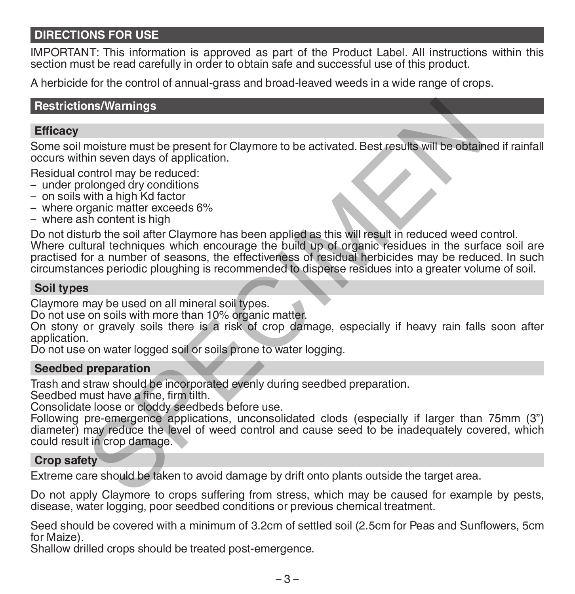# **DIRECTIONS FOR USE**

IMPORTANT: This information is approved as part of the Product Label. All instructions within this section must be read carefully in order to obtain safe and successful use of this product.

A herbicide for the control of annual-grass and broad-leaved weeds in a wide range of crops.

# **Restrictions/Warnings**

# **Efficacy**

Some soil moisture must be present for Claymore to be activated. Best results will be obtained if rainfall occurs within seven days of application.

Residual control may be reduced:

- under prolonged dry conditions
- on soils with a high Kd factor
- where organic matter exceeds 6%
- where ash content is high

Do not disturb the soil after Claymore has been applied as this will result in reduced weed control. Where cultural techniques which encourage the build up of organic residues in the surface soil are practised for a number of seasons, the effectiveness of residual herbicides may be reduced. In such circumstances periodic ploughing is recommended to disperse residues into a greater volume of soil. ons/Warnings<br>
moisture must be present for Claymore to be activated. Best results will be obtain<br>
in seven days of application.<br>
colonged dy conditions<br>
with a high Kd factor<br>
with a high Kd factor<br>
swith a high Kd factor<br>

# **Soil types**

Claymore may be used on all mineral soil types.

Do not use on soils with more than 10% organic matter.

On stony or gravely soils there is a risk of crop damage, especially if heavy rain falls soon after application.

Do not use on water logged soil or soils prone to water logging.

# **Seedbed preparation**

Trash and straw should be incorporated evenly during seedbed preparation.

Seedbed must have a fine, firm tilth.

Consolidate loose or cloddy seedbeds before use.

Following pre-emergence applications, unconsolidated clods (especially if larger than 75mm (3") diameter) may reduce the level of weed control and cause seed to be inadequately covered, which could result in crop damage.

# **Crop safety**

Extreme care should be taken to avoid damage by drift onto plants outside the target area.

Do not apply Claymore to crops suffering from stress, which may be caused for example by pests, disease, water logging, poor seedbed conditions or previous chemical treatment.

Seed should be covered with a minimum of 3.2cm of settled soil (2.5cm for Peas and Sunflowers, 5cm for Maize).

Shallow drilled crops should be treated post-emergence.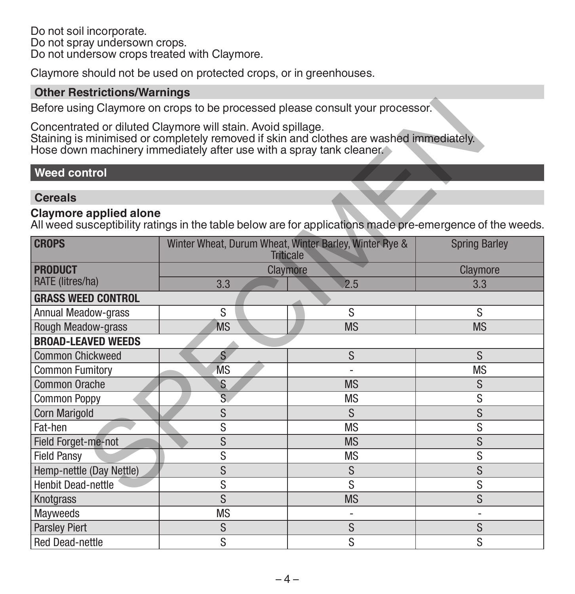Do not soil incorporate. Do not spray undersown crops. Do not undersow crops treated with Claymore.

Claymore should not be used on protected crops, or in greenhouses.

# **Other Restrictions/Warnings**

# **Weed control**

# **Cereals**

# **Claymore applied alone**

|                                                                                                                                           |           | Before using Claymore on crops to be processed please consult your processor.           |                      |
|-------------------------------------------------------------------------------------------------------------------------------------------|-----------|-----------------------------------------------------------------------------------------|----------------------|
| Concentrated or diluted Claymore will stain. Avoid spillage.<br>Hose down machinery immediately after use with a spray tank cleaner.      |           | Staining is minimised or completely removed if skin and clothes are washed immediately. |                      |
| <b>Weed control</b>                                                                                                                       |           |                                                                                         |                      |
| <b>Cereals</b>                                                                                                                            |           |                                                                                         |                      |
| <b>Claymore applied alone</b><br>All weed susceptibility ratings in the table below are for applications made pre-emergence of the weeds. |           |                                                                                         |                      |
| <b>CROPS</b>                                                                                                                              |           | Winter Wheat, Durum Wheat, Winter Barley, Winter Rye &<br><b>Triticale</b>              | <b>Spring Barley</b> |
| <b>PRODUCT</b>                                                                                                                            |           | Claymore                                                                                | Claymore             |
| RATE (litres/ha)                                                                                                                          | 3.3       | 2.5                                                                                     | 3.3                  |
| <b>GRASS WEED CONTROL</b>                                                                                                                 |           |                                                                                         |                      |
| <b>Annual Meadow-grass</b>                                                                                                                | S         | S                                                                                       | S                    |
| Rough Meadow-grass                                                                                                                        | <b>MS</b> | <b>MS</b>                                                                               | <b>MS</b>            |
| <b>BROAD-LEAVED WEEDS</b>                                                                                                                 |           |                                                                                         |                      |
| <b>Common Chickweed</b>                                                                                                                   | S         | S                                                                                       | S                    |
| <b>Common Fumitory</b>                                                                                                                    | <b>MS</b> |                                                                                         | <b>MS</b>            |
| Common Orache                                                                                                                             | S         | <b>MS</b>                                                                               | S                    |
| <b>Common Poppy</b>                                                                                                                       | S         | <b>MS</b>                                                                               | S                    |
| <b>Corn Marigold</b>                                                                                                                      | S         | S                                                                                       | S                    |
| Fat-hen                                                                                                                                   | S         | <b>MS</b>                                                                               | S                    |
| Field Forget-me-not                                                                                                                       | S         | <b>MS</b>                                                                               | S                    |
| <b>Field Pansy</b>                                                                                                                        | S         | <b>MS</b>                                                                               | S                    |
| Hemp-nettle (Day Nettle)                                                                                                                  | S         | S                                                                                       | S                    |
| <b>Henbit Dead-nettle</b>                                                                                                                 | S         | S                                                                                       | S                    |
| Knotgrass                                                                                                                                 | S         | <b>MS</b>                                                                               | S                    |
| Mayweeds                                                                                                                                  | <b>MS</b> | $\overline{a}$                                                                          |                      |
| <b>Parsley Piert</b>                                                                                                                      | S         | S                                                                                       | S                    |
| <b>Red Dead-nettle</b>                                                                                                                    | S         | S                                                                                       | S                    |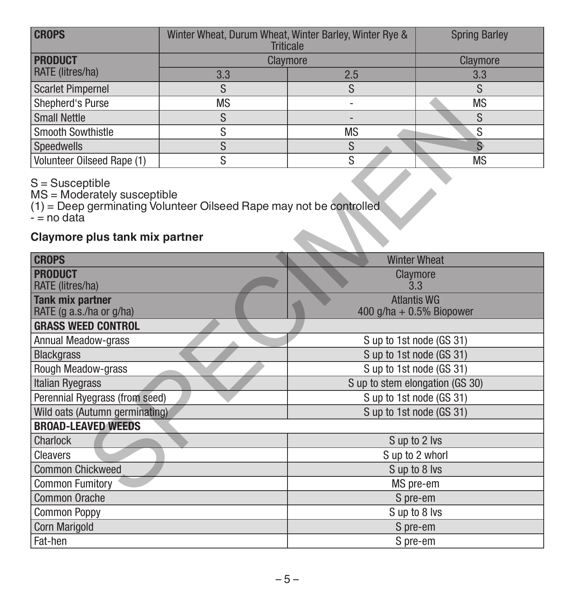| <b>CROPS</b>               | Winter Wheat, Durum Wheat, Winter Barley, Winter Rye &<br><b>Triticale</b> |           | <b>Spring Barley</b> |
|----------------------------|----------------------------------------------------------------------------|-----------|----------------------|
| <b>PRODUCT</b>             | Claymore                                                                   | Claymore  |                      |
| RATE (litres/ha)           | 3.3                                                                        | 2.5       | 3.3                  |
| Scarlet Pimpernel          |                                                                            |           |                      |
| Shepherd's Purse           | <b>MS</b>                                                                  |           | <b>MS</b>            |
| <b>Small Nettle</b>        |                                                                            |           |                      |
| Smooth Sowthistle          |                                                                            | <b>MS</b> | c                    |
| Speedwells                 |                                                                            |           |                      |
| Volunteer Oilseed Rape (1) |                                                                            |           | <b>MS</b>            |

# **Claymore plus tank mix partner**

| Shepherd's Purse                                                                                                                         | <b>MS</b> |                                                   | <b>MS</b>                       |  |
|------------------------------------------------------------------------------------------------------------------------------------------|-----------|---------------------------------------------------|---------------------------------|--|
| <b>Small Nettle</b>                                                                                                                      | S         |                                                   | S                               |  |
| <b>Smooth Sowthistle</b>                                                                                                                 | S         | <b>MS</b>                                         | S                               |  |
| Speedwells                                                                                                                               | S         | S                                                 | $\hat{S}$                       |  |
| Volunteer Oilseed Rape (1)                                                                                                               | S         | S                                                 | <b>MS</b>                       |  |
| $S =$ Susceptible<br>MS = Moderately susceptible<br>(1) = Deep germinating Volunteer Oilseed Rape may not be controlled<br>$-$ = no data |           |                                                   |                                 |  |
| Claymore plus tank mix partner                                                                                                           |           |                                                   |                                 |  |
| <b>CROPS</b>                                                                                                                             |           |                                                   | <b>Winter Wheat</b>             |  |
| <b>PRODUCT</b><br>RATE (litres/ha)                                                                                                       |           | Claymore<br>3.3                                   |                                 |  |
| <b>Tank mix partner</b><br>RATE (g a.s./ha or g/ha)                                                                                      |           | <b>Atlantis WG</b><br>400 g/ha + $0.5\%$ Biopower |                                 |  |
| <b>GRASS WEED CONTROL</b>                                                                                                                |           |                                                   |                                 |  |
| Annual Meadow-grass                                                                                                                      |           | S up to 1st node (GS 31)                          |                                 |  |
| <b>Blackgrass</b>                                                                                                                        |           | S up to 1st node (GS 31)                          |                                 |  |
| Rough Meadow-grass                                                                                                                       |           | S up to 1st node (GS 31)                          |                                 |  |
| Italian Ryegrass                                                                                                                         |           |                                                   | S up to stem elongation (GS 30) |  |
| Perennial Ryegrass (from seed)                                                                                                           |           | S up to 1st node (GS 31)                          |                                 |  |
| Wild oats (Autumn germinating)                                                                                                           |           | S up to 1st node (GS 31)                          |                                 |  |
| <b>BROAD-LEAVED WEEDS</b>                                                                                                                |           |                                                   |                                 |  |
| Charlock                                                                                                                                 |           | S up to 2 lvs                                     |                                 |  |
| Cleavers                                                                                                                                 |           | S up to 2 whorl                                   |                                 |  |
| <b>Common Chickweed</b>                                                                                                                  |           | S up to 8 lys                                     |                                 |  |
| <b>Common Fumitory</b>                                                                                                                   |           | MS pre-em                                         |                                 |  |
| <b>Common Orache</b>                                                                                                                     |           | S pre-em                                          |                                 |  |
| <b>Common Poppy</b>                                                                                                                      |           | S up to 8 lvs                                     |                                 |  |
| Corn Marigold                                                                                                                            |           | S pre-em                                          |                                 |  |
| Fat-hen                                                                                                                                  |           | S pre-em                                          |                                 |  |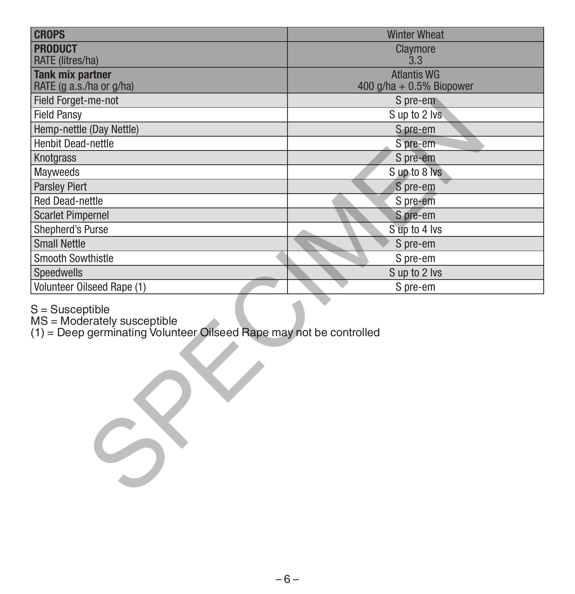| <b>CROPS</b>                                                                                                                      | <b>Winter Wheat</b>                               |  |
|-----------------------------------------------------------------------------------------------------------------------------------|---------------------------------------------------|--|
| <b>PRODUCT</b>                                                                                                                    | Claymore                                          |  |
| RATE (litres/ha)                                                                                                                  | 3.3                                               |  |
| <b>Tank mix partner</b><br>RATE (g a.s./ha or g/ha)                                                                               | <b>Atlantis WG</b><br>400 g/ha + $0.5\%$ Biopower |  |
| Field Forget-me-not                                                                                                               | S pre-em                                          |  |
| <b>Field Pansy</b>                                                                                                                | S up to 2 lvs                                     |  |
| Hemp-nettle (Day Nettle)                                                                                                          | S pre-em                                          |  |
| <b>Henbit Dead-nettle</b>                                                                                                         | S pre-em                                          |  |
| Knotgrass                                                                                                                         | S pre-em                                          |  |
| Mayweeds                                                                                                                          | Sup to 8 lvs                                      |  |
| <b>Parsley Piert</b>                                                                                                              | S pre-em                                          |  |
| Red Dead-nettle                                                                                                                   | S pre-em                                          |  |
| <b>Scarlet Pimpernel</b>                                                                                                          | S pre-em                                          |  |
| Shepherd's Purse                                                                                                                  | S up to 4 lvs                                     |  |
| <b>Small Nettle</b>                                                                                                               | S pre-em                                          |  |
| <b>Smooth Sowthistle</b>                                                                                                          | S pre-em                                          |  |
| Speedwells                                                                                                                        | S up to 2 lvs                                     |  |
| Volunteer Oilseed Rape (1)                                                                                                        | S pre-em                                          |  |
| $S =$ Susceptible<br>$MS = Moderni$ Moderately susceptible<br>(1) = Deep germinating Volunteer Oilseed Rape may not be controlled |                                                   |  |

# S = Susceptible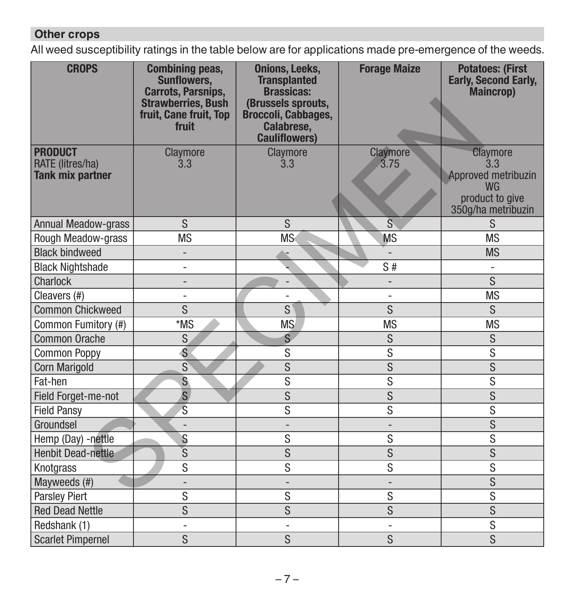# **Other crops**

All weed susceptibility ratings in the table below are for applications made pre-emergence of the weeds.

| <b>CROPS</b>                                                  | <b>Combining peas,</b><br><b>Sunflowers,</b><br><b>Carrots, Parsnips,</b><br><b>Strawberries, Bush</b><br>fruit, Cane fruit, Top<br>fruit | <b>Onions, Leeks,</b><br><b>Transplanted</b><br><b>Brassicas:</b><br>(Brussels sprouts,<br>Broccoli, Cabbages,<br>Calabrese,<br><b>Cauliflowers)</b> | <b>Forage Maize</b>          | <b>Potatoes: (First</b><br><b>Early, Second Early,</b><br>Maincrop)                          |
|---------------------------------------------------------------|-------------------------------------------------------------------------------------------------------------------------------------------|------------------------------------------------------------------------------------------------------------------------------------------------------|------------------------------|----------------------------------------------------------------------------------------------|
| <b>PRODUCT</b><br>RATE (litres/ha)<br><b>Tank mix partner</b> | Claymore<br>3.3                                                                                                                           | Claymore<br>3.3                                                                                                                                      | Claymore<br>3.75             | Claymore<br>3.3<br>Approved metribuzin<br><b>WG</b><br>product to give<br>350g/ha metribuzin |
| Annual Meadow-grass                                           | S                                                                                                                                         | S                                                                                                                                                    | Š                            | S                                                                                            |
| Rough Meadow-grass                                            | <b>MS</b>                                                                                                                                 | <b>MS</b>                                                                                                                                            | <b>MS</b>                    | <b>MS</b>                                                                                    |
| <b>Black bindweed</b>                                         | $\overline{\phantom{a}}$                                                                                                                  |                                                                                                                                                      | $\overline{\phantom{a}}$     | <b>MS</b>                                                                                    |
| <b>Black Nightshade</b>                                       | $\overline{\phantom{0}}$                                                                                                                  |                                                                                                                                                      | S#                           |                                                                                              |
| Charlock                                                      | $\qquad \qquad \blacksquare$                                                                                                              |                                                                                                                                                      | $\overline{\phantom{m}}$     | $\overline{\mathsf{S}}$                                                                      |
| Cleavers (#)                                                  | $\overline{a}$                                                                                                                            |                                                                                                                                                      | $\overline{a}$               | <b>MS</b>                                                                                    |
| <b>Common Chickweed</b>                                       | S                                                                                                                                         | $\overline{s}$                                                                                                                                       | $\overline{s}$               | S                                                                                            |
| Common Fumitory (#)                                           | *MS                                                                                                                                       | <b>MS</b>                                                                                                                                            | <b>MS</b>                    | <b>MS</b>                                                                                    |
| Common Orache                                                 | S                                                                                                                                         | $\overline{\mathsf{s}}$                                                                                                                              | S                            | $\overline{\mathsf{s}}$                                                                      |
| <b>Common Poppy</b>                                           | S                                                                                                                                         | S                                                                                                                                                    | S                            | S                                                                                            |
| <b>Corn Marigold</b>                                          | $\overline{s}$                                                                                                                            | $\overline{s}$                                                                                                                                       | $\overline{\mathbf{S}}$      | $\overline{s}$                                                                               |
| Fat-hen                                                       | $\overline{\mathbf{s}}$                                                                                                                   | $\overline{s}$                                                                                                                                       | $\overline{s}$               | $\overline{s}$                                                                               |
| Field Forget-me-not                                           | $\overline{\mathbf{s}}$                                                                                                                   | $\overline{\mathsf{s}}$                                                                                                                              | $\overline{s}$               | $\overline{s}$                                                                               |
| <b>Field Pansy</b>                                            | Ś                                                                                                                                         | S                                                                                                                                                    | S                            | S                                                                                            |
| Groundsel                                                     | $\overline{a}$                                                                                                                            | $\overline{\phantom{0}}$                                                                                                                             | $\qquad \qquad \blacksquare$ | S                                                                                            |
| Hemp (Day) -nettle                                            | S                                                                                                                                         | S                                                                                                                                                    | S                            | S                                                                                            |
| <b>Henbit Dead-nettle</b>                                     | $\overline{s}$                                                                                                                            | $\overline{s}$                                                                                                                                       | $\overline{s}$               | $\overline{s}$                                                                               |
| Knotgrass                                                     | S                                                                                                                                         | S                                                                                                                                                    | S                            | S                                                                                            |
| Mayweeds (#)                                                  | $\qquad \qquad -$                                                                                                                         |                                                                                                                                                      | $\overline{a}$               | S                                                                                            |
| <b>Parsley Piert</b>                                          | S                                                                                                                                         | S                                                                                                                                                    | S                            | S                                                                                            |
| <b>Red Dead Nettle</b>                                        | S                                                                                                                                         | S                                                                                                                                                    | $\overline{s}$               | $\overline{s}$                                                                               |
| Redshank (1)                                                  | $\qquad \qquad \blacksquare$                                                                                                              | $\overline{\phantom{0}}$                                                                                                                             | $\overline{a}$               | $\overline{s}$                                                                               |
| <b>Scarlet Pimpernel</b>                                      | S                                                                                                                                         | S                                                                                                                                                    | S                            | $\overline{s}$                                                                               |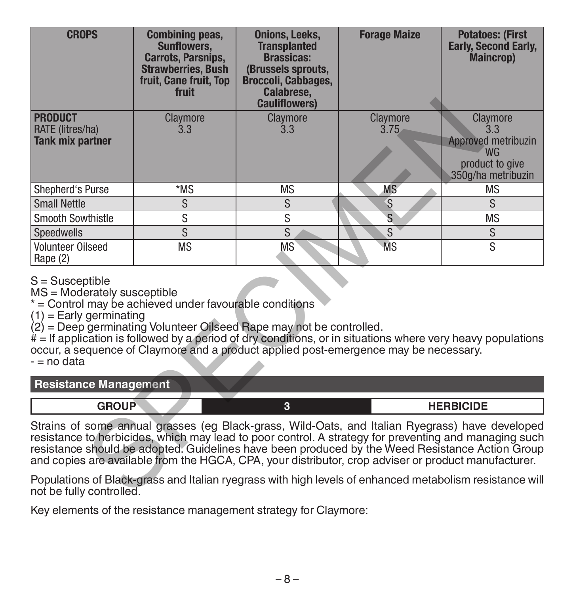| <b>CROPS</b>                                                                                                                                                                                                                                                                                                                                                                                                                               | <b>Combining peas,</b><br><b>Sunflowers.</b><br><b>Carrots, Parsnips,</b><br><b>Strawberries, Bush</b><br>fruit, Cane fruit, Top<br>fruit | <b>Onions, Leeks,</b><br><b>Transplanted</b><br><b>Brassicas:</b><br>(Brussels sprouts,<br>Broccoli, Cabbages,<br>Calabrese,<br><b>Cauliflowers)</b> | <b>Forage Maize</b> | <b>Potatoes: (First</b><br><b>Early, Second Early,</b><br><b>Maincrop</b> )                  |
|--------------------------------------------------------------------------------------------------------------------------------------------------------------------------------------------------------------------------------------------------------------------------------------------------------------------------------------------------------------------------------------------------------------------------------------------|-------------------------------------------------------------------------------------------------------------------------------------------|------------------------------------------------------------------------------------------------------------------------------------------------------|---------------------|----------------------------------------------------------------------------------------------|
| <b>PRODUCT</b><br>RATE (litres/ha)<br><b>Tank mix partner</b>                                                                                                                                                                                                                                                                                                                                                                              | Claymore<br>3.3                                                                                                                           | Claymore<br>3.3                                                                                                                                      | Claymore<br>3.75    | Claymore<br>3.3<br>Approved metribuzin<br><b>WG</b><br>product to give<br>350q/ha metribuzin |
| Shepherd's Purse                                                                                                                                                                                                                                                                                                                                                                                                                           | *MS                                                                                                                                       | <b>MS</b>                                                                                                                                            | <b>MS</b>           | <b>MS</b>                                                                                    |
| <b>Small Nettle</b>                                                                                                                                                                                                                                                                                                                                                                                                                        | S                                                                                                                                         | S                                                                                                                                                    | S                   | S                                                                                            |
| <b>Smooth Sowthistle</b>                                                                                                                                                                                                                                                                                                                                                                                                                   | S                                                                                                                                         | S                                                                                                                                                    | S                   | <b>MS</b>                                                                                    |
| Speedwells                                                                                                                                                                                                                                                                                                                                                                                                                                 | $\overline{\mathbf{s}}$                                                                                                                   | S                                                                                                                                                    | S                   | S                                                                                            |
| Volunteer Oilseed<br>Rape (2)                                                                                                                                                                                                                                                                                                                                                                                                              | <b>MS</b>                                                                                                                                 | <b>MS</b>                                                                                                                                            | <b>MS</b>           | S                                                                                            |
| $S =$ Susceptible<br>MS = Moderately susceptible<br>* = Control may be achieved under favourable conditions<br>$(1)$ = Early germinating<br>$(2)$ = Deep germinating Volunteer Oilseed Rape may not be controlled.<br>$#$ = If application is followed by a period of dry conditions, or in situations where very heavy populations<br>occur, a sequence of Claymore and a product applied post-emergence may be necessary.<br>- = no data |                                                                                                                                           |                                                                                                                                                      |                     |                                                                                              |
| <b>Resistance Management</b>                                                                                                                                                                                                                                                                                                                                                                                                               |                                                                                                                                           |                                                                                                                                                      |                     |                                                                                              |
| <b>GROUP</b>                                                                                                                                                                                                                                                                                                                                                                                                                               |                                                                                                                                           | 3                                                                                                                                                    |                     | <b>HERBICIDE</b>                                                                             |
| Strains of some annual grasses (eg Black-grass, Wild-Oats, and Italian Ryegrass) have developed<br>resistance to herbicides, which may lead to poor control. A strategy for preventing and managing such<br>resistance should be adopted. Guidelines have been produced by the Weed Resistance Action Group<br>and copies are available from the HGCA, CPA, your distributor, crop adviser or product manufacturer.                        |                                                                                                                                           |                                                                                                                                                      |                     |                                                                                              |
| Populations of Black-grass and Italian ryegrass with high levels of enhanced metabolism resistance will<br>not be fully controlled.                                                                                                                                                                                                                                                                                                        |                                                                                                                                           |                                                                                                                                                      |                     |                                                                                              |

### **Resistance Management**

Key elements of the resistance management strategy for Claymore: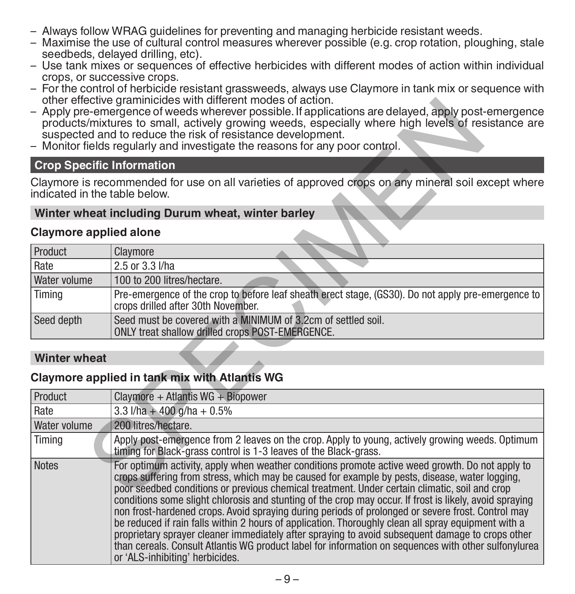- Always follow WRAG guidelines for preventing and managing herbicide resistant weeds.
- Maximise the use of cultural control measures wherever possible (e.g. crop rotation, ploughing, stale seedbeds, delayed drilling, etc).
- Use tank mixes or sequences of effective herbicides with different modes of action within individual crops, or successive crops.
- For the control of herbicide resistant grassweeds, always use Claymore in tank mix or sequence with other effective graminicides with different modes of action.
- Apply pre-emergence of weeds wherever possible. If applications are delayed, apply post-emergence products/mixtures to small, actively growing weeds, especially where high levels of resistance are suspected and to reduce the risk of resistance development.
- Monitor fields regularly and investigate the reasons for any poor control.

# **Crop Specific Information**

### **Winter wheat including Durum wheat, winter barley**

### **Claymore applied alone**

| Product             | Claymore                                                                                                                                 |
|---------------------|------------------------------------------------------------------------------------------------------------------------------------------|
| Rate                | 2.5 or 3.3 l/ha                                                                                                                          |
| <b>Water volume</b> | 100 to 200 litres/hectare.                                                                                                               |
| Timing              | Pre-emergence of the crop to before leaf sheath erect stage, (GS30). Do not apply pre-emergence to<br>crops drilled after 30th November. |
| Seed depth          | Seed must be covered with a MINIMUM of 3.2cm of settled soil.<br>ONLY treat shallow drilled crops POST-EMERGENCE.                        |

# **Winter wheat**

# **Claymore applied in tank mix with Atlantis WG**

|                                  | other effective graminicides with different modes of action.<br>Apply pre-emergence of weeds wherever possible. If applications are delayed, apply post-emergence<br>products/mixtures to small, actively growing weeds, especially where high levels of resistance are<br>suspected and to reduce the risk of resistance development.<br>- Monitor fields regularly and investigate the reasons for any poor control.                                                                                                                                                                                                                                                                                                                                                                                                                                                   |
|----------------------------------|--------------------------------------------------------------------------------------------------------------------------------------------------------------------------------------------------------------------------------------------------------------------------------------------------------------------------------------------------------------------------------------------------------------------------------------------------------------------------------------------------------------------------------------------------------------------------------------------------------------------------------------------------------------------------------------------------------------------------------------------------------------------------------------------------------------------------------------------------------------------------|
| <b>Crop Specific Information</b> |                                                                                                                                                                                                                                                                                                                                                                                                                                                                                                                                                                                                                                                                                                                                                                                                                                                                          |
| indicated in the table below.    | Claymore is recommended for use on all varieties of approved crops on any mineral soil except where                                                                                                                                                                                                                                                                                                                                                                                                                                                                                                                                                                                                                                                                                                                                                                      |
|                                  | Winter wheat including Durum wheat, winter barley                                                                                                                                                                                                                                                                                                                                                                                                                                                                                                                                                                                                                                                                                                                                                                                                                        |
| <b>Claymore applied alone</b>    |                                                                                                                                                                                                                                                                                                                                                                                                                                                                                                                                                                                                                                                                                                                                                                                                                                                                          |
| Product                          | Claymore                                                                                                                                                                                                                                                                                                                                                                                                                                                                                                                                                                                                                                                                                                                                                                                                                                                                 |
| Rate                             | 2.5 or 3.3 l/ha                                                                                                                                                                                                                                                                                                                                                                                                                                                                                                                                                                                                                                                                                                                                                                                                                                                          |
| Water volume                     | 100 to 200 litres/hectare.                                                                                                                                                                                                                                                                                                                                                                                                                                                                                                                                                                                                                                                                                                                                                                                                                                               |
| Timing                           | Pre-emergence of the crop to before leaf sheath erect stage, (GS30). Do not apply pre-emergence to<br>crops drilled after 30th November.                                                                                                                                                                                                                                                                                                                                                                                                                                                                                                                                                                                                                                                                                                                                 |
| Seed depth                       | Seed must be covered with a MINIMUM of 3.2cm of settled soil.<br>ONLY treat shallow drilled crops POST-EMERGENCE.                                                                                                                                                                                                                                                                                                                                                                                                                                                                                                                                                                                                                                                                                                                                                        |
| <b>Winter wheat</b>              |                                                                                                                                                                                                                                                                                                                                                                                                                                                                                                                                                                                                                                                                                                                                                                                                                                                                          |
|                                  | Claymore applied in tank mix with Atlantis WG                                                                                                                                                                                                                                                                                                                                                                                                                                                                                                                                                                                                                                                                                                                                                                                                                            |
| Product                          | Claymore + Atlantis $WG + Biopower$                                                                                                                                                                                                                                                                                                                                                                                                                                                                                                                                                                                                                                                                                                                                                                                                                                      |
| Rate                             | 3.3 $1/ha + 400 a/ha + 0.5%$                                                                                                                                                                                                                                                                                                                                                                                                                                                                                                                                                                                                                                                                                                                                                                                                                                             |
| Water volume                     | 200 litres/hectare.                                                                                                                                                                                                                                                                                                                                                                                                                                                                                                                                                                                                                                                                                                                                                                                                                                                      |
| Timing                           | Apply post-emergence from 2 leaves on the crop. Apply to young, actively growing weeds. Optimum<br>timing for Black-grass control is 1-3 leaves of the Black-grass.                                                                                                                                                                                                                                                                                                                                                                                                                                                                                                                                                                                                                                                                                                      |
| <b>Notes</b>                     | For optimum activity, apply when weather conditions promote active weed growth. Do not apply to<br>crops suffering from stress, which may be caused for example by pests, disease, water logging,<br>poor seedbed conditions or previous chemical treatment. Under certain climatic, soil and crop<br>conditions some slight chlorosis and stunting of the crop may occur. If frost is likely, avoid spraying<br>non frost-hardened crops. Avoid spraying during periods of prolonged or severe frost. Control may<br>be reduced if rain falls within 2 hours of application. Thoroughly clean all spray equipment with a<br>proprietary sprayer cleaner immediately after spraying to avoid subsequent damage to crops other<br>than cereals. Consult Atlantis WG product label for information on sequences with other sulfonylurea<br>or 'ALS-inhibiting' herbicides. |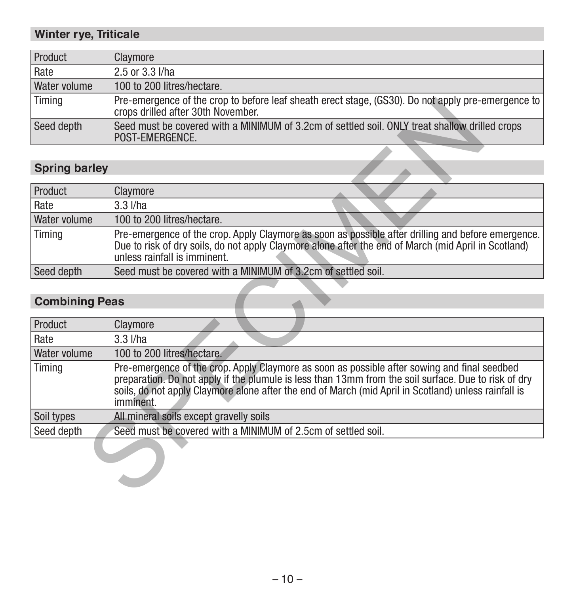# **Winter rye, Triticale**

| Product      | Claymore                                                                                                                                 |
|--------------|------------------------------------------------------------------------------------------------------------------------------------------|
| Rate         | 2.5 or 3.3 l/ha                                                                                                                          |
| Water volume | 100 to 200 litres/hectare.                                                                                                               |
| Timing       | Pre-emergence of the crop to before leaf sheath erect stage, (GS30). Do not apply pre-emergence to<br>crops drilled after 30th November. |
| Seed depth   | Seed must be covered with a MINIMUM of 3.2cm of settled soil. ONLY treat shallow drilled crops<br>POST-EMERGENCE.                        |

# **Spring barley**

| Product             | Claymore                                                                                                                                                                                                                                   |
|---------------------|--------------------------------------------------------------------------------------------------------------------------------------------------------------------------------------------------------------------------------------------|
| Rate                | $3.3$ $I/ha$                                                                                                                                                                                                                               |
| <b>Water volume</b> | 100 to 200 litres/hectare.                                                                                                                                                                                                                 |
| Timina              | Pre-emergence of the crop. Apply Claymore as soon as possible after drilling and before emergence.<br>Due to risk of dry soils, do not apply Claymore alone after the end of March (mid April in Scotland)<br>unless rainfall is imminent. |
| Seed depth          | Seed must be covered with a MINIMUM of 3.2cm of settled soil.                                                                                                                                                                              |

# **Combining Peas**

| Timing                | Pre-emergence of the crop to before leaf sheath erect stage. (GS30). Do not apply pre-emergence to l<br>crops drilled after 30th November.                                                                                                                                                                                |
|-----------------------|---------------------------------------------------------------------------------------------------------------------------------------------------------------------------------------------------------------------------------------------------------------------------------------------------------------------------|
| Seed depth            | Seed must be covered with a MINIMUM of 3.2cm of settled soil. ONLY treat shallow drilled crops<br>POST-EMERGENCE.                                                                                                                                                                                                         |
|                       |                                                                                                                                                                                                                                                                                                                           |
| <b>Spring barley</b>  |                                                                                                                                                                                                                                                                                                                           |
| Product               | Claymore                                                                                                                                                                                                                                                                                                                  |
| Rate                  | $3.3$ $I/ha$                                                                                                                                                                                                                                                                                                              |
| Water volume          | 100 to 200 litres/hectare.                                                                                                                                                                                                                                                                                                |
| Timing                | Pre-emergence of the crop. Apply Claymore as soon as possible after drilling and before emergence.<br>Due to risk of dry soils, do not apply Claymore alone after the end of March (mid April in Scotland)<br>unless rainfall is imminent.                                                                                |
| Seed depth            | Seed must be covered with a MINIMUM of 3.2cm of settled soil.                                                                                                                                                                                                                                                             |
|                       |                                                                                                                                                                                                                                                                                                                           |
| <b>Combining Peas</b> |                                                                                                                                                                                                                                                                                                                           |
| Product               | Claymore                                                                                                                                                                                                                                                                                                                  |
| Rate                  | $3.3$ $I/ha$                                                                                                                                                                                                                                                                                                              |
| Water volume          | 100 to 200 litres/hectare.                                                                                                                                                                                                                                                                                                |
| Timing                | Pre-emergence of the crop. Apply Claymore as soon as possible after sowing and final seedbed<br>preparation. Do not apply if the plumule is less than 13mm from the soil surface. Due to risk of dry<br>soils, do not apply Claymore alone after the end of March (mid April in Scotland) unless rainfall is<br>imminent. |
| Soil types            | All mineral soils except gravelly soils                                                                                                                                                                                                                                                                                   |
| Seed depth            | Seed must be covered with a MINIMUM of 2.5cm of settled soil.                                                                                                                                                                                                                                                             |
|                       |                                                                                                                                                                                                                                                                                                                           |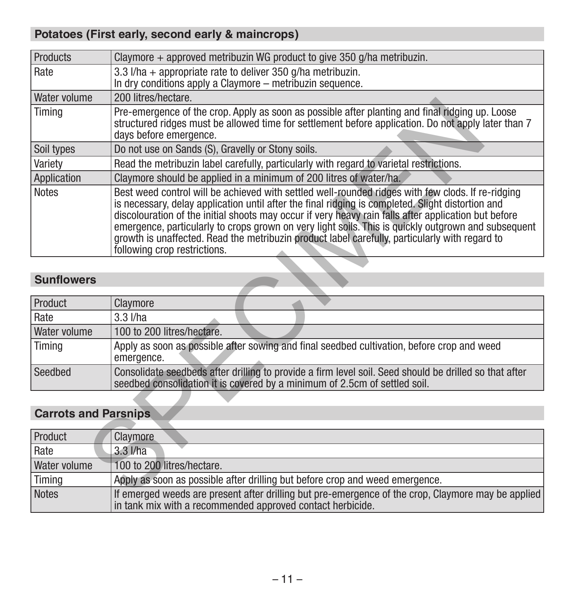# **Potatoes (First early, second early & maincrops)**

| Products                    | Claymore + approved metribuzin WG product to give 350 g/ha metribuzin.                                                                                                                                                                                                                                                                                                                                                                                                                                                                                  |  |  |
|-----------------------------|---------------------------------------------------------------------------------------------------------------------------------------------------------------------------------------------------------------------------------------------------------------------------------------------------------------------------------------------------------------------------------------------------------------------------------------------------------------------------------------------------------------------------------------------------------|--|--|
| Rate                        | 3.3 $1/ha$ + appropriate rate to deliver 350 $q/ha$ metribuzin.<br>In dry conditions apply a Claymore – metribuzin sequence.                                                                                                                                                                                                                                                                                                                                                                                                                            |  |  |
| Water volume                | 200 litres/hectare.                                                                                                                                                                                                                                                                                                                                                                                                                                                                                                                                     |  |  |
| Timing                      | Pre-emergence of the crop. Apply as soon as possible after planting and final ridging up. Loose<br>structured ridges must be allowed time for settlement before application. Do not apply later than 7<br>days before emergence.                                                                                                                                                                                                                                                                                                                        |  |  |
| Soil types                  | Do not use on Sands (S), Gravelly or Stony soils.                                                                                                                                                                                                                                                                                                                                                                                                                                                                                                       |  |  |
| Variety                     | Read the metribuzin label carefully, particularly with regard to varietal restrictions.                                                                                                                                                                                                                                                                                                                                                                                                                                                                 |  |  |
| Application                 | Claymore should be applied in a minimum of 200 litres of water/ha.                                                                                                                                                                                                                                                                                                                                                                                                                                                                                      |  |  |
| <b>Notes</b>                | Best weed control will be achieved with settled well-rounded ridges with few clods. If re-ridging<br>is necessary, delay application until after the final ridging is completed. Slight distortion and<br>discolouration of the initial shoots may occur if very heavy rain falls after application but before<br>emergence, particularly to crops grown on very light soils. This is quickly outgrown and subsequent<br>growth is unaffected. Read the metribuzin product label carefully, particularly with regard to<br>following crop restrictions. |  |  |
| <b>Sunflowers</b>           |                                                                                                                                                                                                                                                                                                                                                                                                                                                                                                                                                         |  |  |
| Product                     | Claymore                                                                                                                                                                                                                                                                                                                                                                                                                                                                                                                                                |  |  |
| Rate                        | $3.3$ $I/ha$                                                                                                                                                                                                                                                                                                                                                                                                                                                                                                                                            |  |  |
| Water volume                | 100 to 200 litres/hectare.                                                                                                                                                                                                                                                                                                                                                                                                                                                                                                                              |  |  |
| Timing                      | Apply as soon as possible after sowing and final seedbed cultivation, before crop and weed<br>emergence.                                                                                                                                                                                                                                                                                                                                                                                                                                                |  |  |
| Seedbed                     | Consolidate seedbeds after drilling to provide a firm level soil. Seed should be drilled so that after<br>seedbed consolidation it is covered by a minimum of 2.5cm of settled soil.                                                                                                                                                                                                                                                                                                                                                                    |  |  |
|                             |                                                                                                                                                                                                                                                                                                                                                                                                                                                                                                                                                         |  |  |
| <b>Carrots and Parsnips</b> |                                                                                                                                                                                                                                                                                                                                                                                                                                                                                                                                                         |  |  |
| Product                     | Claymore                                                                                                                                                                                                                                                                                                                                                                                                                                                                                                                                                |  |  |
| Rate                        | $3.3$ $I/ha$                                                                                                                                                                                                                                                                                                                                                                                                                                                                                                                                            |  |  |
| Water volume                | 100 to 200 litres/hectare.                                                                                                                                                                                                                                                                                                                                                                                                                                                                                                                              |  |  |
| Timing                      | Apply as soon as possible after drilling but before crop and weed emergence.                                                                                                                                                                                                                                                                                                                                                                                                                                                                            |  |  |
| <b>Notes</b>                | If emerged weeds are present after drilling but pre-emergence of the crop. Claymore may be applied                                                                                                                                                                                                                                                                                                                                                                                                                                                      |  |  |

# **Sunflowers**

| Product      | Claymore                                                                                                                                                                             |
|--------------|--------------------------------------------------------------------------------------------------------------------------------------------------------------------------------------|
| Rate         | $3.3$ $I/ha$                                                                                                                                                                         |
| Water volume | 100 to 200 litres/hectare.                                                                                                                                                           |
| Timing       | Apply as soon as possible after sowing and final seedbed cultivation, before crop and weed<br>emergence.                                                                             |
| Seedbed      | Consolidate seedbeds after drilling to provide a firm level soil. Seed should be drilled so that after<br>seedbed consolidation it is covered by a minimum of 2.5cm of settled soil. |

# **Carrots and Parsnips**

| Product      | Claymore                                                                                                                                                           |
|--------------|--------------------------------------------------------------------------------------------------------------------------------------------------------------------|
| Rate         | $3.3$ $I/ha$                                                                                                                                                       |
| Water volume | 100 to 200 litres/hectare.                                                                                                                                         |
| Timing       | Apply as soon as possible after drilling but before crop and weed emergence.                                                                                       |
| Notes        | If emerged weeds are present after drilling but pre-emergence of the crop, Claymore may be applied  <br>in tank mix with a recommended approved contact herbicide. |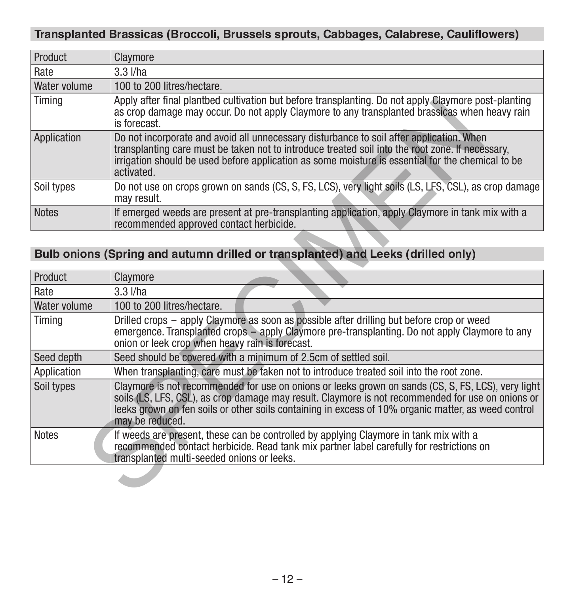# **Transplanted Brassicas (Broccoli, Brussels sprouts, Cabbages, Calabrese, Cauliflowers)**

| Product      | Claymore                                                                                                                                                                                                                                                                                                        |
|--------------|-----------------------------------------------------------------------------------------------------------------------------------------------------------------------------------------------------------------------------------------------------------------------------------------------------------------|
| Rate         | $3.3$ $I/ha$                                                                                                                                                                                                                                                                                                    |
| Water volume | 100 to 200 litres/hectare.                                                                                                                                                                                                                                                                                      |
| Timing       | Apply after final plantbed cultivation but before transplanting. Do not apply Claymore post-planting<br>as crop damage may occur. Do not apply Claymore to any transplanted brassicas when heavy rain<br>is forecast.                                                                                           |
| Application  | Do not incorporate and avoid all unnecessary disturbance to soil after application. When<br>transplanting care must be taken not to introduce treated soil into the root zone. If necessary,<br>irrigation should be used before application as some moisture is essential for the chemical to be<br>activated. |
| Soil types   | Do not use on crops grown on sands (CS, S, FS, LCS), very light soils (LS, LFS, CSL), as crop damage<br>may result.                                                                                                                                                                                             |
| <b>Notes</b> | If emerged weeds are present at pre-transplanting application, apply Claymore in tank mix with a<br>recommended approved contact herbicide.                                                                                                                                                                     |

# **Bulb onions (Spring and autumn drilled or transplanted) and Leeks (drilled only)**

| <b>Notes</b> | If weeds are present, these can be controlled by applying Claymore in tank mix with a<br>recommended contact herbicide. Read tank mix partner label carefully for restrictions on<br>transplanted multi-seeded onions or leeks.                                                                                                   |  |
|--------------|-----------------------------------------------------------------------------------------------------------------------------------------------------------------------------------------------------------------------------------------------------------------------------------------------------------------------------------|--|
| Soil types   | Claymore is not recommended for use on onions or leeks grown on sands (CS, S, FS, LCS), very light<br>soils (LS, LFS, CSL), as crop damage may result. Claymore is not recommended for use on onions or<br>leeks grown on fen soils or other soils containing in excess of 10% organic matter, as weed control<br>may be reduced. |  |
| Application  | When transplanting, care must be taken not to introduce treated soil into the root zone.                                                                                                                                                                                                                                          |  |
| Seed depth   | Seed should be covered with a minimum of 2.5cm of settled soil.                                                                                                                                                                                                                                                                   |  |
| Timing       | Drilled crops - apply Claymore as soon as possible after drilling but before crop or weed<br>emergence. Transplanted crops – apply Claymore pre-transplanting. Do not apply Claymore to any<br>onion or leek crop when heavy rain is forecast.                                                                                    |  |
| Water volume | 100 to 200 litres/hectare.                                                                                                                                                                                                                                                                                                        |  |
| Rate         | $3.3$ $I/ha$                                                                                                                                                                                                                                                                                                                      |  |
| Product      | Claymore                                                                                                                                                                                                                                                                                                                          |  |
|              | Bulb onions (Spring and autumn drilled or transplanted) and Leeks (drilled only)                                                                                                                                                                                                                                                  |  |
| <b>Notes</b> | If emerged weeds are present at pre-transplanting application, apply Claymore in tank mix with a<br>recommended approved contact herbicide.                                                                                                                                                                                       |  |
| Soil types   | Do not use on crops grown on sands (CS, S, FS, LCS), very light soils (LS, LFS, CSL), as crop damage<br>may result.                                                                                                                                                                                                               |  |
| Application  | Do not incorporate and avoid all unnecessary disturbance to soil after application. When<br>transplanting care must be taken not to introduce treated soil into the root zone. If necessary,<br>irrigation should be used before application as some moisture is essential for the chemical to be<br>activated.                   |  |
| Timina       | Apply after final plantbed cultivation but before transplanting. Do not apply Claymore post-planting<br>as crop damage may occur. Do not apply Claymore to any transplanted brassicas when heavy rain<br>is forecast.                                                                                                             |  |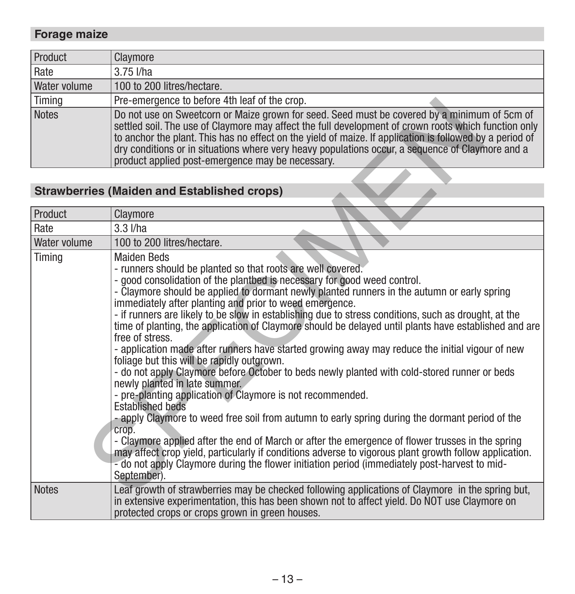# **Forage maize**

| Product             | Claymore                                                                                                                                                                                                                                                                                                                                                                                                                                                                 |
|---------------------|--------------------------------------------------------------------------------------------------------------------------------------------------------------------------------------------------------------------------------------------------------------------------------------------------------------------------------------------------------------------------------------------------------------------------------------------------------------------------|
| Rate                | $3.75$ $I/ha$                                                                                                                                                                                                                                                                                                                                                                                                                                                            |
| <b>Water volume</b> | 100 to 200 litres/hectare.                                                                                                                                                                                                                                                                                                                                                                                                                                               |
| Timing              | Pre-emergence to before 4th leaf of the crop.                                                                                                                                                                                                                                                                                                                                                                                                                            |
| Notes               | Do not use on Sweetcorn or Maize grown for seed. Seed must be covered by a minimum of 5cm of<br>settled soil. The use of Claymore may affect the full development of crown roots which function only<br>to anchor the plant. This has no effect on the yield of maize. If application is followed by a period of<br>dry conditions or in situations where very heavy populations occur, a sequence of Claymore and a<br>product applied post-emergence may be necessary. |

# **Strawberries (Maiden and Established crops)**

| Timing       | Pre-emergence to before 4th leaf of the crop.                                                                                                                                                                                                                                                                                                                                                                                                                                                                                                                                                                                                                                                                                                                                                                                                                                                                                                                                                                                                                                                                                                                                                                                                                                                                                                                                    |  |  |
|--------------|----------------------------------------------------------------------------------------------------------------------------------------------------------------------------------------------------------------------------------------------------------------------------------------------------------------------------------------------------------------------------------------------------------------------------------------------------------------------------------------------------------------------------------------------------------------------------------------------------------------------------------------------------------------------------------------------------------------------------------------------------------------------------------------------------------------------------------------------------------------------------------------------------------------------------------------------------------------------------------------------------------------------------------------------------------------------------------------------------------------------------------------------------------------------------------------------------------------------------------------------------------------------------------------------------------------------------------------------------------------------------------|--|--|
| <b>Notes</b> | Do not use on Sweetcorn or Maize grown for seed. Seed must be covered by a minimum of 5cm of<br>settled soil. The use of Claymore may affect the full development of crown roots which function only<br>to anchor the plant. This has no effect on the yield of maize. If application is followed by a period of<br>dry conditions or in situations where very heavy populations occur, a sequence of Claymore and a<br>product applied post-emergence may be necessary.                                                                                                                                                                                                                                                                                                                                                                                                                                                                                                                                                                                                                                                                                                                                                                                                                                                                                                         |  |  |
|              |                                                                                                                                                                                                                                                                                                                                                                                                                                                                                                                                                                                                                                                                                                                                                                                                                                                                                                                                                                                                                                                                                                                                                                                                                                                                                                                                                                                  |  |  |
|              | <b>Strawberries (Maiden and Established crops)</b>                                                                                                                                                                                                                                                                                                                                                                                                                                                                                                                                                                                                                                                                                                                                                                                                                                                                                                                                                                                                                                                                                                                                                                                                                                                                                                                               |  |  |
| Product      | Claymore                                                                                                                                                                                                                                                                                                                                                                                                                                                                                                                                                                                                                                                                                                                                                                                                                                                                                                                                                                                                                                                                                                                                                                                                                                                                                                                                                                         |  |  |
| Rate         | $3.3$ $I/ha$                                                                                                                                                                                                                                                                                                                                                                                                                                                                                                                                                                                                                                                                                                                                                                                                                                                                                                                                                                                                                                                                                                                                                                                                                                                                                                                                                                     |  |  |
| Water volume | 100 to 200 litres/hectare.                                                                                                                                                                                                                                                                                                                                                                                                                                                                                                                                                                                                                                                                                                                                                                                                                                                                                                                                                                                                                                                                                                                                                                                                                                                                                                                                                       |  |  |
| Timing       | <b>Maiden Beds</b><br>- runners should be planted so that roots are well covered.<br>- good consolidation of the plantbed is necessary for good weed control.<br>- Claymore should be applied to dormant newly planted runners in the autumn or early spring<br>immediately after planting and prior to weed emergence.<br>- if runners are likely to be slow in establishing due to stress conditions, such as drought, at the<br>time of planting, the application of Claymore should be delayed until plants have established and are<br>free of stress.<br>- application made after runners have started growing away may reduce the initial vigour of new<br>foliage but this will be rapidly outgrown.<br>- do not apply Claymore before October to beds newly planted with cold-stored runner or beds<br>newly planted in late summer.<br>- pre-planting application of Claymore is not recommended.<br><b>Established beds</b><br>- apply Claymore to weed free soil from autumn to early spring during the dormant period of the<br>crop.<br>- Claymore applied after the end of March or after the emergence of flower trusses in the spring<br>may affect crop yield, particularly if conditions adverse to vigorous plant growth follow application.<br>- do not apply Claymore during the flower initiation period (immediately post-harvest to mid-<br>September). |  |  |
| Notes        | Leaf growth of strawberries may be checked following applications of Claymore in the spring but,<br>in extensive experimentation, this has been shown not to affect yield. Do NOT use Claymore on<br>protected crops or crops grown in green houses.                                                                                                                                                                                                                                                                                                                                                                                                                                                                                                                                                                                                                                                                                                                                                                                                                                                                                                                                                                                                                                                                                                                             |  |  |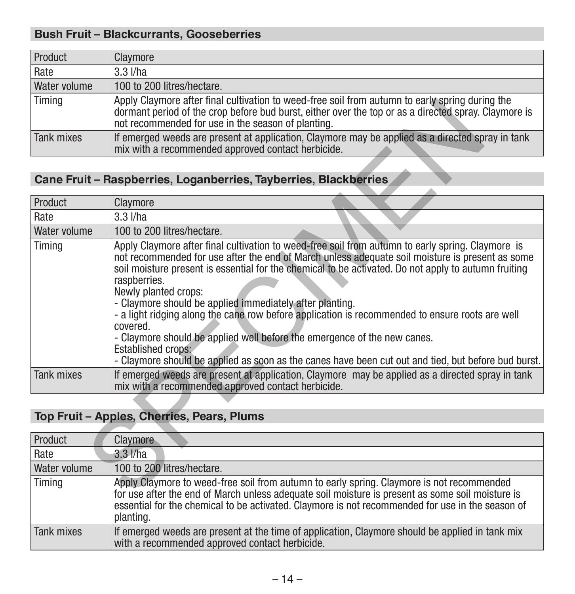# **Bush Fruit – Blackcurrants, Gooseberries**

| Product             | Claymore                                                                                                                                                                                                                                                      |
|---------------------|---------------------------------------------------------------------------------------------------------------------------------------------------------------------------------------------------------------------------------------------------------------|
| Rate                | $3.3$ $I/ha$                                                                                                                                                                                                                                                  |
| <b>Water volume</b> | 100 to 200 litres/hectare.                                                                                                                                                                                                                                    |
| Timing              | Apply Claymore after final cultivation to weed-free soil from autumn to early spring during the<br>dormant period of the crop before bud burst, either over the top or as a directed spray. Claymore is<br>not recommended for use in the season of planting. |
| Tank mixes          | If emerged weeds are present at application, Claymore may be applied as a directed spray in tank<br>mix with a recommended approved contact herbicide.                                                                                                        |

# **Cane Fruit – Raspberries, Loganberries, Tayberries, Blackberries**

| Timing            | Apply Claymore after final cultivation to weed-free soil from autumn to early spring during the<br>dormant period of the crop before bud burst, either over the top or as a directed spray. Claymore is<br>not recommended for use in the season of planting.                                                                                                                                                                                                                                                                                                                                                                                                                                                                            |  |
|-------------------|------------------------------------------------------------------------------------------------------------------------------------------------------------------------------------------------------------------------------------------------------------------------------------------------------------------------------------------------------------------------------------------------------------------------------------------------------------------------------------------------------------------------------------------------------------------------------------------------------------------------------------------------------------------------------------------------------------------------------------------|--|
| <b>Tank mixes</b> | If emerged weeds are present at application, Claymore may be applied as a directed spray in tank<br>mix with a recommended approved contact herbicide.                                                                                                                                                                                                                                                                                                                                                                                                                                                                                                                                                                                   |  |
|                   |                                                                                                                                                                                                                                                                                                                                                                                                                                                                                                                                                                                                                                                                                                                                          |  |
|                   | Cane Fruit - Raspberries, Loganberries, Tayberries, Blackberries                                                                                                                                                                                                                                                                                                                                                                                                                                                                                                                                                                                                                                                                         |  |
| Product           | Claymore                                                                                                                                                                                                                                                                                                                                                                                                                                                                                                                                                                                                                                                                                                                                 |  |
| Rate              | $3.3$ $I/ha$                                                                                                                                                                                                                                                                                                                                                                                                                                                                                                                                                                                                                                                                                                                             |  |
| Water volume      | 100 to 200 litres/hectare.                                                                                                                                                                                                                                                                                                                                                                                                                                                                                                                                                                                                                                                                                                               |  |
| Timing            | Apply Claymore after final cultivation to weed-free soil from autumn to early spring. Claymore is<br>not recommended for use after the end of March unless adequate soil moisture is present as some<br>soil moisture present is essential for the chemical to be activated. Do not apply to autumn fruiting<br>raspberries.<br>Newly planted crops:<br>- Claymore should be applied immediately after planting.<br>- a light ridging along the cane row before application is recommended to ensure roots are well<br>covered.<br>- Claymore should be applied well before the emergence of the new canes.<br>Established crops:<br>- Claymore should be applied as soon as the canes have been cut out and tied, but before bud burst. |  |
| <b>Tank mixes</b> | If emerged weeds are present at application, Claymore may be applied as a directed spray in tank<br>mix with a recommended approved contact herbicide.                                                                                                                                                                                                                                                                                                                                                                                                                                                                                                                                                                                   |  |
|                   |                                                                                                                                                                                                                                                                                                                                                                                                                                                                                                                                                                                                                                                                                                                                          |  |
|                   | Top Fruit - Apples, Cherries, Pears, Plums                                                                                                                                                                                                                                                                                                                                                                                                                                                                                                                                                                                                                                                                                               |  |
| Product           | Claymore                                                                                                                                                                                                                                                                                                                                                                                                                                                                                                                                                                                                                                                                                                                                 |  |
| Rate              | $3.3$ $I/ha$                                                                                                                                                                                                                                                                                                                                                                                                                                                                                                                                                                                                                                                                                                                             |  |
| Water volume      | 100 to 200 litres/hectare.                                                                                                                                                                                                                                                                                                                                                                                                                                                                                                                                                                                                                                                                                                               |  |
| Timina            | Apply Claymore to weed-free soil from autumn to early spring. Claymore is not recommended<br>for use after the end of March unless adequate soil moisture is present as some soil moisture is                                                                                                                                                                                                                                                                                                                                                                                                                                                                                                                                            |  |

# **Top Fruit – Apples, Cherries, Pears, Plums**

| Product             | <b>Claymore</b>                                                                                                                                                                                                                                                                                                |
|---------------------|----------------------------------------------------------------------------------------------------------------------------------------------------------------------------------------------------------------------------------------------------------------------------------------------------------------|
| Rate                | $3.3$ $I/ha$                                                                                                                                                                                                                                                                                                   |
| <b>Water volume</b> | 100 to 200 litres/hectare.                                                                                                                                                                                                                                                                                     |
| Timing              | Apply Claymore to weed-free soil from autumn to early spring. Claymore is not recommended<br>for use after the end of March unless adequate soil moisture is present as some soil moisture is<br>essential for the chemical to be activated. Claymore is not recommended for use in the season of<br>planting. |
| Tank mixes          | If emerged weeds are present at the time of application, Claymore should be applied in tank mix<br>with a recommended approved contact herbicide.                                                                                                                                                              |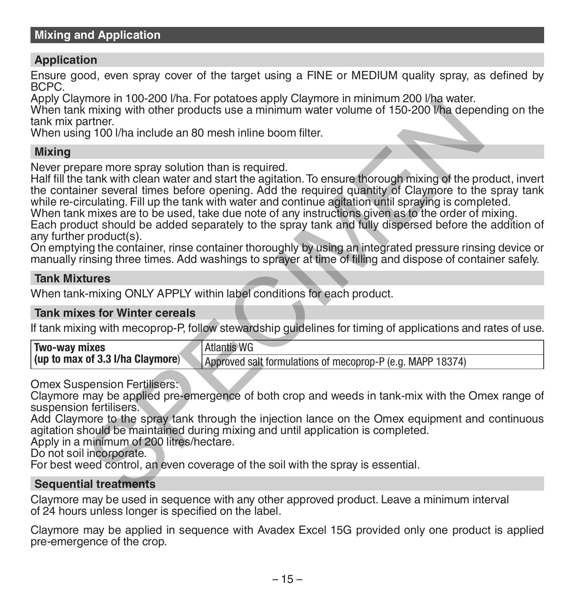# **Application**

Ensure good, even spray cover of the target using a FINE or MEDIUM quality spray, as defined by BCPC.

Apply Claymore in 100-200 l/ha. For potatoes apply Claymore in minimum 200 l/ha water.

When tank mixing with other products use a minimum water volume of 150-200 l/ha depending on the tank mix partner.

When using 100 l/ha include an 80 mesh inline boom filter.

# **Mixing**

Never prepare more spray solution than is required.

Half fill the tank with clean water and start the agitation. To ensure thorough mixing of the product, invert the container several times before opening. Add the required quantity of Claymore to the spray tank while re-circulating. Fill up the tank with water and continue agitation until spraying is completed. When tank mixes are to be used, take due note of any instructions given as to the order of mixing. more to the product of publishes apply Claymore in minimal compares in the space of the space of the space and the products use a minimum water volume of 150-200 l/ha dependent<br>after more products use a minimum water volum

Each product should be added separately to the spray tank and fully dispersed before the addition of any further product(s).

On emptying the container, rinse container thoroughly by using an integrated pressure rinsing device or manually rinsing three times. Add washings to sprayer at time of filling and dispose of container safely.

# **Tank Mixtures**

When tank-mixing ONLY APPLY within label conditions for each product.

### **Tank mixes for Winter cereals**

If tank mixing with mecoprop-P, follow stewardship guidelines for timing of applications and rates of use.

| <b>Two-way mixes</b>             | Atlantis WG                                                |
|----------------------------------|------------------------------------------------------------|
| (up to max of 3.3 I/ha Claymore) | Approved salt formulations of mecoprop-P (e.g. MAPP 18374) |

Omex Suspension Fertilisers:

Claymore may be applied pre-emergence of both crop and weeds in tank-mix with the Omex range of suspension fertilisers.

Add Claymore to the spray tank through the injection lance on the Omex equipment and continuous agitation should be maintained during mixing and until application is completed.

Apply in a minimum of 200 litres/hectare.

Do not soil incorporate.

For best weed control, an even coverage of the soil with the spray is essential.

# **Sequential treatments**

Claymore may be used in sequence with any other approved product. Leave a minimum interval of 24 hours unless longer is specified on the label.

Claymore may be applied in sequence with Avadex Excel 15G provided only one product is applied pre-emergence of the crop.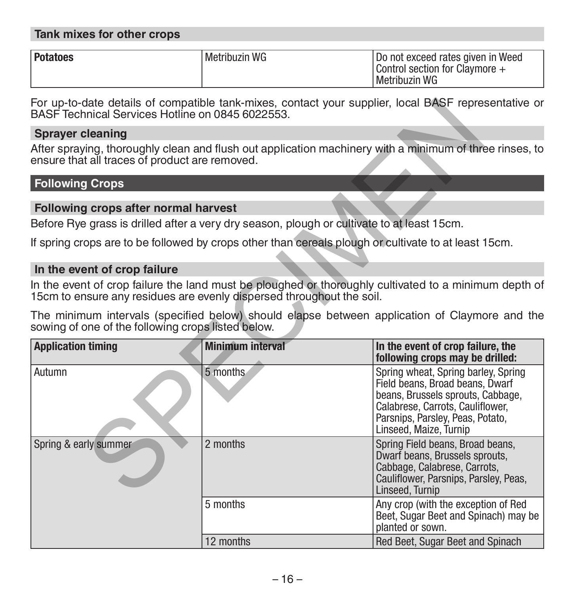# **Tank mixes for other crops**

| Potatoes | Metribuzin WG | l Do not exceed rates given in Weed               |
|----------|---------------|---------------------------------------------------|
|          |               | Control section for Claymore $+$<br>Metribuzin WG |

For up-to-date details of compatible tank-mixes, contact your supplier, local BASF representative or BASF Technical Services Hotline on 0845 6022553.

### **Sprayer cleaning**

# **Following Crops**

### **Following crops after normal harvest**

### **In the event of crop failure**

| BASF Technical Services Hotline on 0845 6022553.   |                                                                                                      | For up-to-date details of compatible tank-mixes, contact your supplier, local BASF representative or                                                                                                          |
|----------------------------------------------------|------------------------------------------------------------------------------------------------------|---------------------------------------------------------------------------------------------------------------------------------------------------------------------------------------------------------------|
| <b>Sprayer cleaning</b>                            |                                                                                                      |                                                                                                                                                                                                               |
| ensure that all traces of product are removed.     |                                                                                                      | After spraying, thoroughly clean and flush out application machinery with a minimum of three rinses, to                                                                                                       |
| <b>Following Crops</b>                             |                                                                                                      |                                                                                                                                                                                                               |
| Following crops after normal harvest               |                                                                                                      |                                                                                                                                                                                                               |
|                                                    | Before Rye grass is drilled after a very dry season, plough or cultivate to at least 15cm.           |                                                                                                                                                                                                               |
|                                                    | If spring crops are to be followed by crops other than cereals plough or cultivate to at least 15cm. |                                                                                                                                                                                                               |
| In the event of crop failure                       |                                                                                                      |                                                                                                                                                                                                               |
|                                                    | 15cm to ensure any residues are evenly dispersed throughout the soil.                                | In the event of crop failure the land must be ploughed or thoroughly cultivated to a minimum depth of                                                                                                         |
|                                                    |                                                                                                      | The minimum intervals (specified below) should elapse between application of Claymore and the                                                                                                                 |
| sowing of one of the following crops listed below. |                                                                                                      |                                                                                                                                                                                                               |
| <b>Application timing</b>                          | <b>Minimum interval</b>                                                                              | In the event of crop failure, the<br>following crops may be drilled:                                                                                                                                          |
| Autumn                                             | 5 months                                                                                             | Spring wheat, Spring barley, Spring<br>Field beans, Broad beans, Dwarf<br>beans, Brussels sprouts, Cabbage,<br>Calabrese, Carrots, Cauliflower,<br>Parsnips, Parsley, Peas, Potato,<br>Linseed, Maize, Turnip |
| Spring & early summer                              | 2 months                                                                                             | Spring Field beans, Broad beans,<br>Dwarf beans, Brussels sprouts,<br>Cabbage, Calabrese, Carrots,<br>Cauliflower, Parsnips, Parsley, Peas,<br>Linseed, Turnip                                                |
|                                                    | 5 months<br>12 months                                                                                | Any crop (with the exception of Red<br>Beet, Sugar Beet and Spinach) may be<br>planted or sown.                                                                                                               |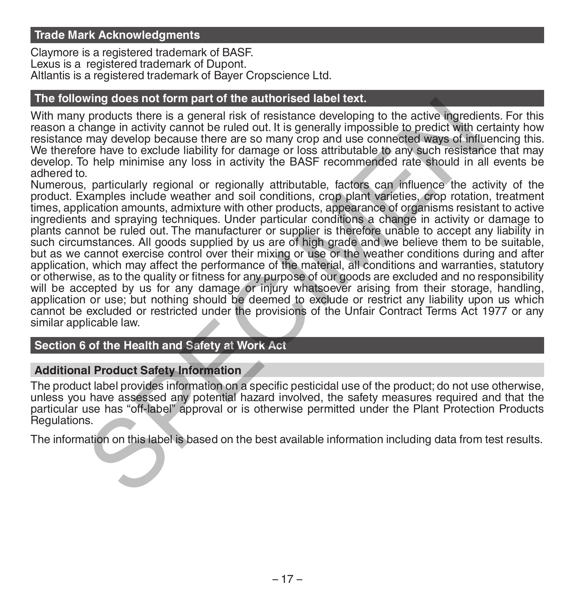### **Trade Mark Acknowledgments**

Claymore is a registered trademark of BASF. Lexus is a registered trademark of Dupont. Altlantis is a registered trademark of Bayer Cropscience Ltd.

### **The following does not form part of the authorised label text.**

With many products there is a general risk of resistance developing to the active ingredients. For this reason a change in activity cannot be ruled out. It is generally impossible to predict with certainty how resistance may develop because there are so many crop and use connected ways of influencing this. We therefore have to exclude liability for damage or loss attributable to any such resistance that may develop. To help minimise any loss in activity the BASF recommended rate should in all events be adhered to.

Numerous, particularly regional or regionally attributable, factors can influence the activity of the product. Examples include weather and soil conditions, crop plant varieties, crop rotation, treatment times, application amounts, admixture with other products, appearance of organisms resistant to active ingredients and spraying techniques. Under particular conditions a change in activity or damage to plants cannot be ruled out. The manufacturer or supplier is therefore unable to accept any liability in such circumstances. All goods supplied by us are of high grade and we believe them to be suitable, but as we cannot exercise control over their mixing or use or the weather conditions during and after application, which may affect the performance of the material, all conditions and warranties, statutory or otherwise, as to the quality or fitness for any purpose of our goods are excluded and no responsibility will be accepted by us for any damage or injury whatsoever arising from their storage, handling, application or use; but nothing should be deemed to exclude or restrict any liability upon us which cannot be excluded or restricted under the provisions of the Unfair Contract Terms Act 1977 or any similar applicable law. migrouss into thim part of the authorise tractics.<br>The products there is a general risk of resistance developing to the active ingredies<br>hange in activity cannot be ruled out. It is generally impossible to predict with com

# **Section 6 of the Health and Safety at Work Act**

### **Additional Product Safety Information**

The product label provides information on a specific pesticidal use of the product; do not use otherwise, unless you have assessed any potential hazard involved, the safety measures required and that the particular use has "off-label" approval or is otherwise permitted under the Plant Protection Products Regulations.

The information on this label is based on the best available information including data from test results.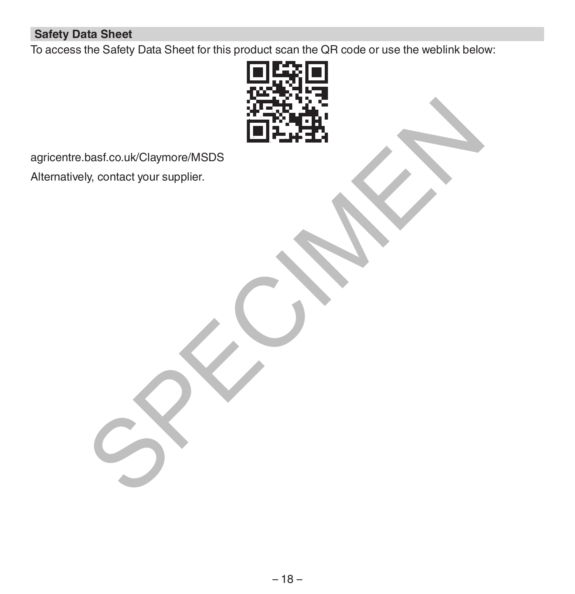# **Safety Data Sheet**

To access the Safety Data Sheet for this product scan the QR code or use the weblink below:



agricentre.basf.co.uk/Claymore/MSDS Alternatively, contact your supplier.